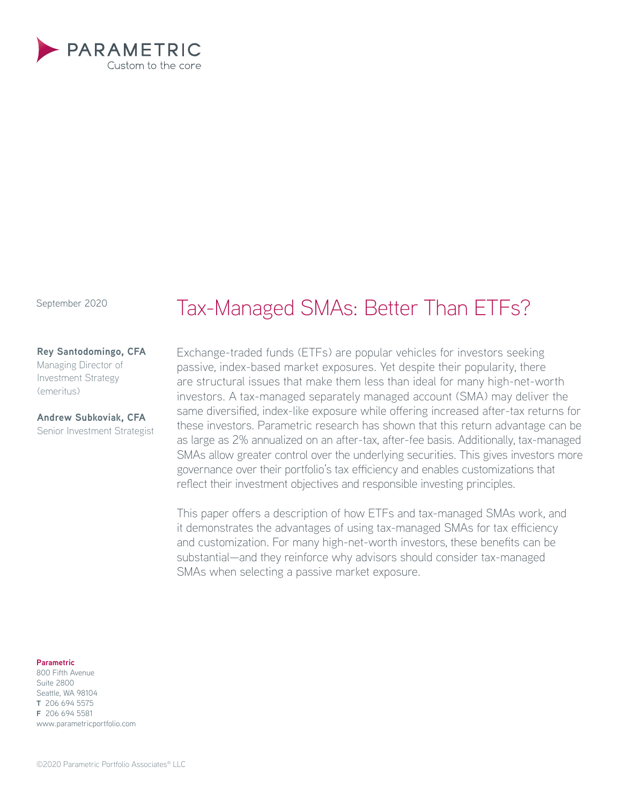

September 2020

### **Rey Santodomingo, CFA**

Managing Director of Investment Strategy (emeritus)

# **Andrew Subkoviak, CFA**

Senior Investment Strategist

# Tax-Managed SMAs: Better Than ETFs?

Exchange-traded funds (ETFs) are popular vehicles for investors seeking passive, index-based market exposures. Yet despite their popularity, there are structural issues that make them less than ideal for many high-net-worth investors. A tax-managed separately managed account (SMA) may deliver the same diversified, index-like exposure while offering increased after-tax returns for these investors. Parametric research has shown that this return advantage can be as large as 2% annualized on an after-tax, after-fee basis. Additionally, tax-managed SMAs allow greater control over the underlying securities. This gives investors more governance over their portfolio's tax efficiency and enables customizations that reflect their investment objectives and responsible investing principles.

This paper offers a description of how ETFs and tax-managed SMAs work, and it demonstrates the advantages of using tax-managed SMAs for tax efficiency and customization. For many high-net-worth investors, these benefits can be substantial—and they reinforce why advisors should consider tax-managed SMAs when selecting a passive market exposure.

#### **Parametric**

800 Fifth Avenue Suite 2800 Seattle, WA 98104 **T** 206 694 5575 **F** 206 694 5581 www.parametricportfolio.com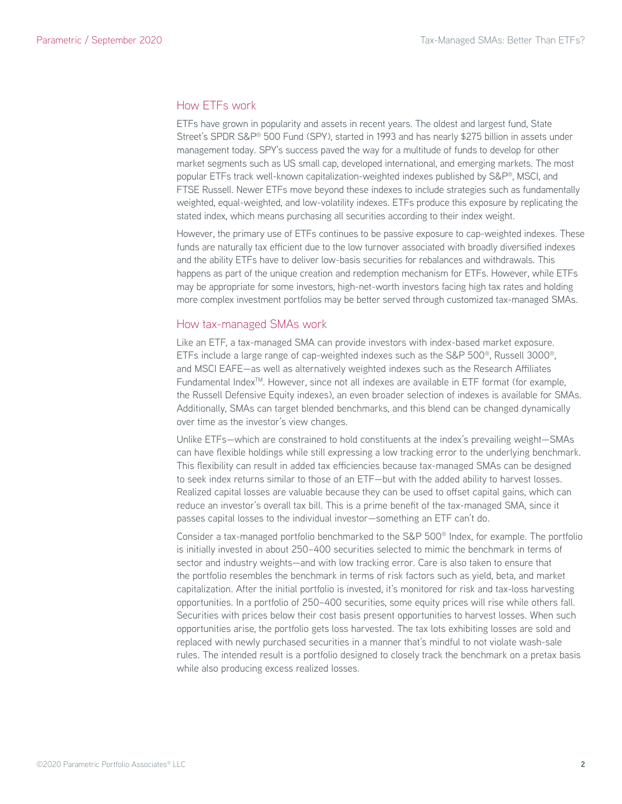# How ETFs work

ETFs have grown in popularity and assets in recent years. The oldest and largest fund, State Street's SPDR S&P® 500 Fund (SPY), started in 1993 and has nearly \$275 billion in assets under management today. SPY's success paved the way for a multitude of funds to develop for other market segments such as US small cap, developed international, and emerging markets. The most popular ETFs track well-known capitalization-weighted indexes published by S&P®, MSCI, and FTSE Russell. Newer ETFs move beyond these indexes to include strategies such as fundamentally weighted, equal-weighted, and low-volatility indexes. ETFs produce this exposure by replicating the stated index, which means purchasing all securities according to their index weight.

However, the primary use of ETFs continues to be passive exposure to cap-weighted indexes. These funds are naturally tax efficient due to the low turnover associated with broadly diversified indexes and the ability ETFs have to deliver low-basis securities for rebalances and withdrawals. This happens as part of the unique creation and redemption mechanism for ETFs. However, while ETFs may be appropriate for some investors, high-net-worth investors facing high tax rates and holding more complex investment portfolios may be better served through customized tax-managed SMAs.

# How tax-managed SMAs work

Like an ETF, a tax-managed SMA can provide investors with index-based market exposure. ETFs include a large range of cap-weighted indexes such as the S&P 500®, Russell 3000®, and MSCI EAFE—as well as alternatively weighted indexes such as the Research Affiliates Fundamental Index<sup>™</sup>. However, since not all indexes are available in ETF format (for example, the Russell Defensive Equity indexes), an even broader selection of indexes is available for SMAs. Additionally, SMAs can target blended benchmarks, and this blend can be changed dynamically over time as the investor's view changes.

Unlike ETFs—which are constrained to hold constituents at the index's prevailing weight—SMAs can have flexible holdings while still expressing a low tracking error to the underlying benchmark. This flexibility can result in added tax efficiencies because tax-managed SMAs can be designed to seek index returns similar to those of an ETF—but with the added ability to harvest losses. Realized capital losses are valuable because they can be used to offset capital gains, which can reduce an investor's overall tax bill. This is a prime benefit of the tax-managed SMA, since it passes capital losses to the individual investor—something an ETF can't do.

Consider a tax-managed portfolio benchmarked to the S&P 500® Index, for example. The portfolio is initially invested in about 250–400 securities selected to mimic the benchmark in terms of sector and industry weights—and with low tracking error. Care is also taken to ensure that the portfolio resembles the benchmark in terms of risk factors such as yield, beta, and market capitalization. After the initial portfolio is invested, it's monitored for risk and tax-loss harvesting opportunities. In a portfolio of 250–400 securities, some equity prices will rise while others fall. Securities with prices below their cost basis present opportunities to harvest losses. When such opportunities arise, the portfolio gets loss harvested. The tax lots exhibiting losses are sold and replaced with newly purchased securities in a manner that's mindful to not violate wash-sale rules. The intended result is a portfolio designed to closely track the benchmark on a pretax basis while also producing excess realized losses.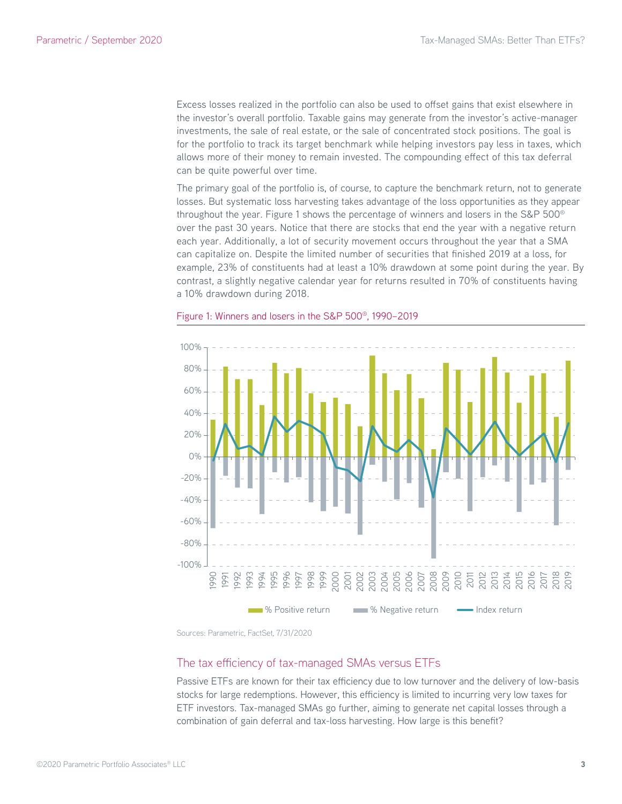Excess losses realized in the portfolio can also be used to offset gains that exist elsewhere in the investor's overall portfolio. Taxable gains may generate from the investor's active-manager investments, the sale of real estate, or the sale of concentrated stock positions. The goal is for the portfolio to track its target benchmark while helping investors pay less in taxes, which allows more of their money to remain invested. The compounding effect of this tax deferral can be quite powerful over time.

The primary goal of the portfolio is, of course, to capture the benchmark return, not to generate losses. But systematic loss harvesting takes advantage of the loss opportunities as they appear throughout the year. Figure 1 shows the percentage of winners and losers in the S&P 500® over the past 30 years. Notice that there are stocks that end the year with a negative return each year. Additionally, a lot of security movement occurs throughout the year that a SMA can capitalize on. Despite the limited number of securities that finished 2019 at a loss, for example, 23% of constituents had at least a 10% drawdown at some point during the year. By contrast, a slightly negative calendar year for returns resulted in 70% of constituents having a 10% drawdown during 2018.



#### Figure 1: Winners and losers in the S&P 500®, 1990–2019

Sources: Parametric, FactSet, 7/31/2020

# The tax efficiency of tax-managed SMAs versus ETFs

Passive ETFs are known for their tax efficiency due to low turnover and the delivery of low-basis stocks for large redemptions. However, this efficiency is limited to incurring very low taxes for ETF investors. Tax-managed SMAs go further, aiming to generate net capital losses through a combination of gain deferral and tax-loss harvesting. How large is this benefit?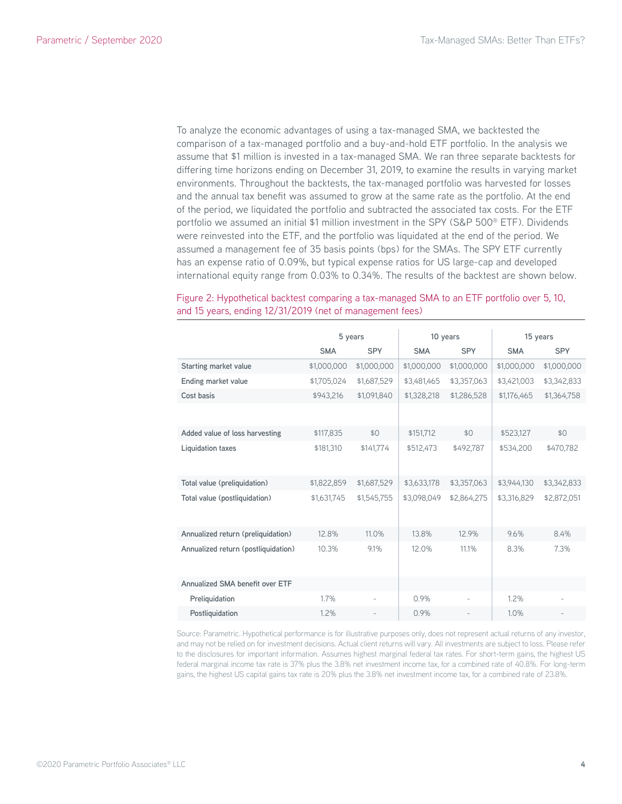To analyze the economic advantages of using a tax-managed SMA, we backtested the comparison of a tax-managed portfolio and a buy-and-hold ETF portfolio. In the analysis we assume that \$1 million is invested in a tax-managed SMA. We ran three separate backtests for differing time horizons ending on December 31, 2019, to examine the results in varying market environments. Throughout the backtests, the tax-managed portfolio was harvested for losses and the annual tax benefit was assumed to grow at the same rate as the portfolio. At the end of the period, we liquidated the portfolio and subtracted the associated tax costs. For the ETF portfolio we assumed an initial \$1 million investment in the SPY (S&P 500® ETF). Dividends were reinvested into the ETF, and the portfolio was liquidated at the end of the period. We assumed a management fee of 35 basis points (bps) for the SMAs. The SPY ETF currently has an expense ratio of 0.09%, but typical expense ratios for US large-cap and developed international equity range from 0.03% to 0.34%. The results of the backtest are shown below.

# Figure 2: Hypothetical backtest comparing a tax-managed SMA to an ETF portfolio over 5, 10, and 15 years, ending 12/31/2019 (net of management fees)

|                                     | 5 years     |             | 10 years    |             | 15 years    |             |
|-------------------------------------|-------------|-------------|-------------|-------------|-------------|-------------|
|                                     | <b>SMA</b>  | <b>SPY</b>  | <b>SMA</b>  | <b>SPY</b>  | <b>SMA</b>  | <b>SPY</b>  |
| Starting market value               | \$1,000,000 | \$1,000,000 | \$1,000,000 | \$1,000,000 | \$1,000,000 | \$1,000,000 |
| Ending market value                 | \$1,705,024 | \$1,687,529 | \$3,481,465 | \$3,357,063 | \$3,421,003 | \$3,342,833 |
| Cost basis                          | \$943,216   | \$1,091,840 | \$1,328,218 | \$1,286,528 | \$1,176,465 | \$1,364,758 |
|                                     |             |             |             |             |             |             |
| Added value of loss harvesting      | \$117,835   | \$0         | \$151,712   | \$0         | \$523,127   | \$0         |
| Liquidation taxes                   | \$181.310   | \$141,774   | \$512,473   | \$492.787   | \$534,200   | \$470.782   |
| Total value (preliquidation)        | \$1,822,859 | \$1,687,529 | \$3,633,178 | \$3,357,063 | \$3,944,130 | \$3,342,833 |
| Total value (postliquidation)       | \$1,631,745 | \$1,545,755 | \$3,098,049 | \$2,864,275 | \$3,316,829 | \$2,872,051 |
| Annualized return (preliquidation)  | 12.8%       | 11.0%       | 13.8%       | 12.9%       | 9.6%        | 8.4%        |
| Annualized return (postliquidation) | 10.3%       | 9.1%        | 12.0%       | 11.1%       | 8.3%        | 7.3%        |
| Annualized SMA benefit over ETF     |             |             |             |             |             |             |
| Preliquidation                      | 1.7%        | ÷           | 0.9%        |             | $1.2\%$     |             |
| Postliquidation                     | 1.2%        |             | 0.9%        |             | 1.0%        |             |

Source: Parametric. Hypothetical performance is for illustrative purposes only, does not represent actual returns of any investor, and may not be relied on for investment decisions. Actual client returns will vary. All investments are subject to loss. Please refer to the disclosures for important information. Assumes highest marginal federal tax rates. For short-term gains, the highest US federal marginal income tax rate is 37% plus the 3.8% net investment income tax, for a combined rate of 40.8%. For long-term gains, the highest US capital gains tax rate is 20% plus the 3.8% net investment income tax, for a combined rate of 23.8%.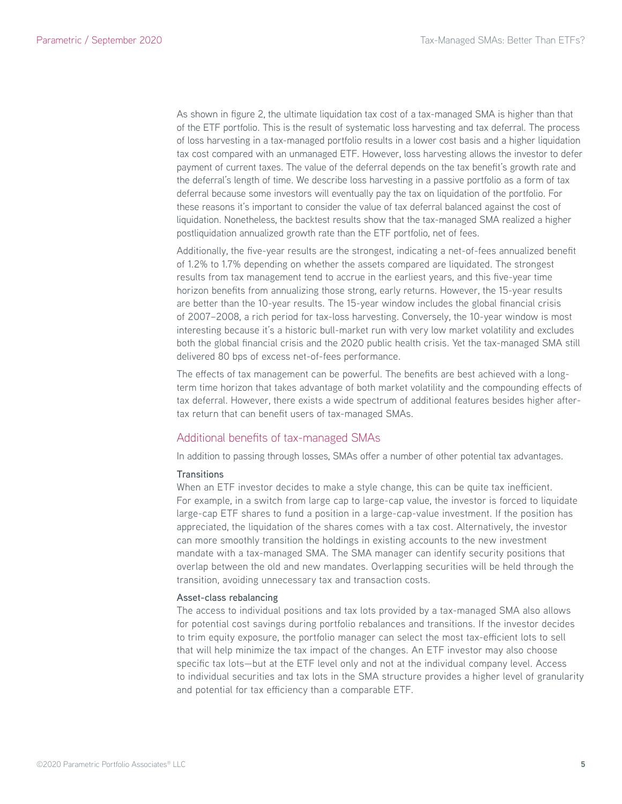As shown in figure 2, the ultimate liquidation tax cost of a tax-managed SMA is higher than that of the ETF portfolio. This is the result of systematic loss harvesting and tax deferral. The process of loss harvesting in a tax-managed portfolio results in a lower cost basis and a higher liquidation tax cost compared with an unmanaged ETF. However, loss harvesting allows the investor to defer payment of current taxes. The value of the deferral depends on the tax benefit's growth rate and the deferral's length of time. We describe loss harvesting in a passive portfolio as a form of tax deferral because some investors will eventually pay the tax on liquidation of the portfolio. For these reasons it's important to consider the value of tax deferral balanced against the cost of liquidation. Nonetheless, the backtest results show that the tax-managed SMA realized a higher postliquidation annualized growth rate than the ETF portfolio, net of fees.

Additionally, the five-year results are the strongest, indicating a net-of-fees annualized benefit of 1.2% to 1.7% depending on whether the assets compared are liquidated. The strongest results from tax management tend to accrue in the earliest years, and this five-year time horizon benefits from annualizing those strong, early returns. However, the 15-year results are better than the 10-year results. The 15-year window includes the global financial crisis of 2007–2008, a rich period for tax-loss harvesting. Conversely, the 10-year window is most interesting because it's a historic bull-market run with very low market volatility and excludes both the global financial crisis and the 2020 public health crisis. Yet the tax-managed SMA still delivered 80 bps of excess net-of-fees performance.

The effects of tax management can be powerful. The benefits are best achieved with a longterm time horizon that takes advantage of both market volatility and the compounding effects of tax deferral. However, there exists a wide spectrum of additional features besides higher aftertax return that can benefit users of tax-managed SMAs.

# Additional benefits of tax-managed SMAs

In addition to passing through losses, SMAs offer a number of other potential tax advantages.

#### **Transitions**

When an ETF investor decides to make a style change, this can be quite tax inefficient. For example, in a switch from large cap to large-cap value, the investor is forced to liquidate large-cap ETF shares to fund a position in a large-cap-value investment. If the position has appreciated, the liquidation of the shares comes with a tax cost. Alternatively, the investor can more smoothly transition the holdings in existing accounts to the new investment mandate with a tax-managed SMA. The SMA manager can identify security positions that overlap between the old and new mandates. Overlapping securities will be held through the transition, avoiding unnecessary tax and transaction costs.

#### **Asset-class rebalancing**

The access to individual positions and tax lots provided by a tax-managed SMA also allows for potential cost savings during portfolio rebalances and transitions. If the investor decides to trim equity exposure, the portfolio manager can select the most tax-efficient lots to sell that will help minimize the tax impact of the changes. An ETF investor may also choose specific tax lots—but at the ETF level only and not at the individual company level. Access to individual securities and tax lots in the SMA structure provides a higher level of granularity and potential for tax efficiency than a comparable ETF.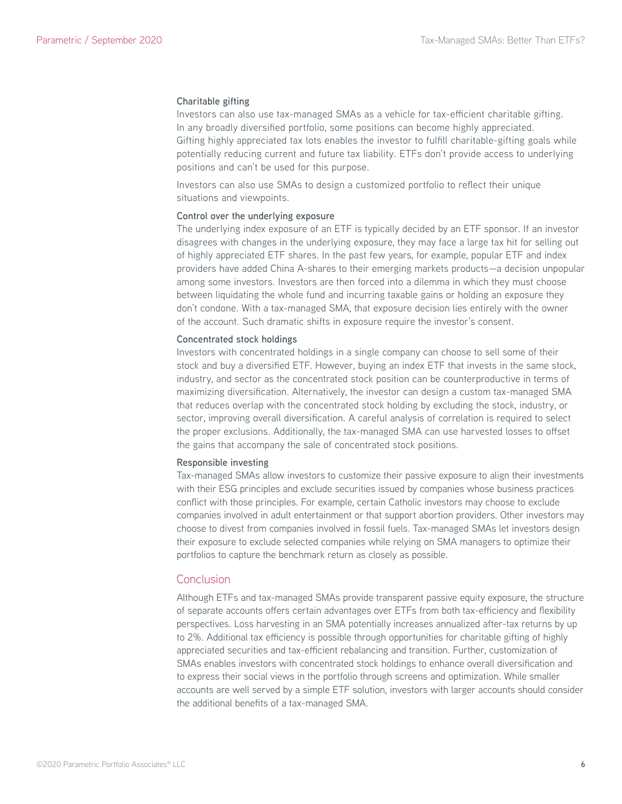#### **Charitable gifting**

Investors can also use tax-managed SMAs as a vehicle for tax-efficient charitable gifting. In any broadly diversified portfolio, some positions can become highly appreciated. Gifting highly appreciated tax lots enables the investor to fulfill charitable-gifting goals while potentially reducing current and future tax liability. ETFs don't provide access to underlying positions and can't be used for this purpose.

Investors can also use SMAs to design a customized portfolio to reflect their unique situations and viewpoints.

#### **Control over the underlying exposure**

The underlying index exposure of an ETF is typically decided by an ETF sponsor. If an investor disagrees with changes in the underlying exposure, they may face a large tax hit for selling out of highly appreciated ETF shares. In the past few years, for example, popular ETF and index providers have added China A-shares to their emerging markets products—a decision unpopular among some investors. Investors are then forced into a dilemma in which they must choose between liquidating the whole fund and incurring taxable gains or holding an exposure they don't condone. With a tax-managed SMA, that exposure decision lies entirely with the owner of the account. Such dramatic shifts in exposure require the investor's consent.

#### **Concentrated stock holdings**

Investors with concentrated holdings in a single company can choose to sell some of their stock and buy a diversified ETF. However, buying an index ETF that invests in the same stock, industry, and sector as the concentrated stock position can be counterproductive in terms of maximizing diversification. Alternatively, the investor can design a custom tax-managed SMA that reduces overlap with the concentrated stock holding by excluding the stock, industry, or sector, improving overall diversification. A careful analysis of correlation is required to select the proper exclusions. Additionally, the tax-managed SMA can use harvested losses to offset the gains that accompany the sale of concentrated stock positions.

#### **Responsible investing**

Tax-managed SMAs allow investors to customize their passive exposure to align their investments with their ESG principles and exclude securities issued by companies whose business practices conflict with those principles. For example, certain Catholic investors may choose to exclude companies involved in adult entertainment or that support abortion providers. Other investors may choose to divest from companies involved in fossil fuels. Tax-managed SMAs let investors design their exposure to exclude selected companies while relying on SMA managers to optimize their portfolios to capture the benchmark return as closely as possible.

#### Conclusion

Although ETFs and tax-managed SMAs provide transparent passive equity exposure, the structure of separate accounts offers certain advantages over ETFs from both tax-efficiency and flexibility perspectives. Loss harvesting in an SMA potentially increases annualized after-tax returns by up to 2%. Additional tax efficiency is possible through opportunities for charitable gifting of highly appreciated securities and tax-efficient rebalancing and transition. Further, customization of SMAs enables investors with concentrated stock holdings to enhance overall diversification and to express their social views in the portfolio through screens and optimization. While smaller accounts are well served by a simple ETF solution, investors with larger accounts should consider the additional benefits of a tax-managed SMA.